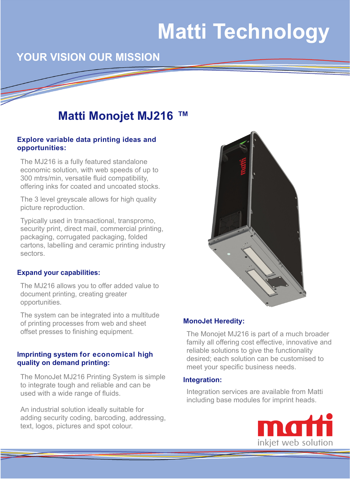# **Matti Technology**

# **YOUR VISION OUR MISSION**

# **Matti Monojet MJ216 ™**

### **Explore variable data printing ideas and opportunities:**

The MJ216 is a fully featured standalone economic solution, with web speeds of up to 300 mtrs/min, versatile fluid compatibility, offering inks for coated and uncoated stocks.

The 3 level greyscale allows for high quality picture reproduction.

Typically used in transactional, transpromo, security print, direct mail, commercial printing, packaging, corrugated packaging, folded cartons, labelling and ceramic printing industry sectors.

#### **Expand your capabilities:**

The MJ216 allows you to offer added value to document printing, creating greater opportunities.

The system can be integrated into a multitude of printing processes from web and sheet offset presses to finishing equipment.

#### **Imprinting system for economical high quality on demand printing:**

The MonoJet MJ216 Printing System is simple to integrate tough and reliable and can be used with a wide range of fluids.

An industrial solution ideally suitable for adding security coding, barcoding, addressing, text, logos, pictures and spot colour.



#### **MonoJet Heredity:**

The Monojet MJ216 is part of a much broader family all offering cost effective, innovative and reliable solutions to give the functionality desired; each solution can be customised to meet your specific business needs.

### **Integration:**

Integration services are available from Matti including base modules for imprint heads.